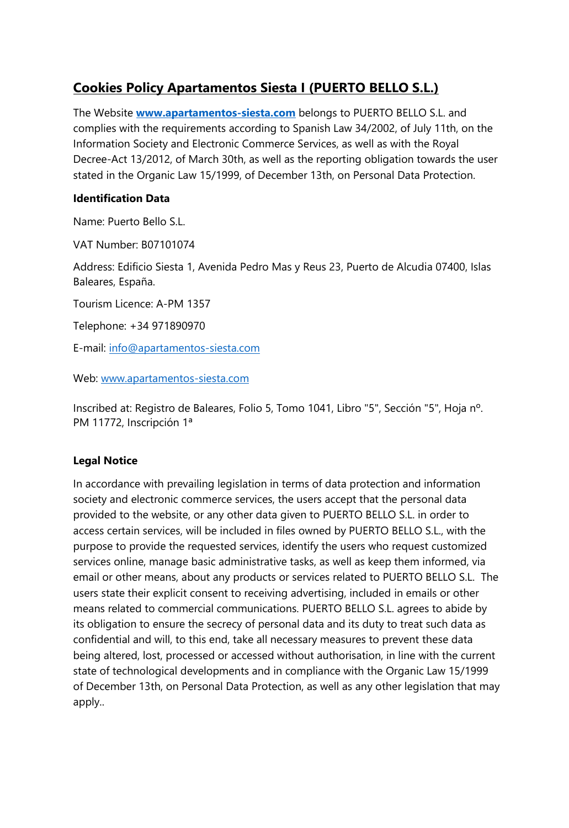# **Cookies Policy Apartamentos Siesta I (PUERTO BELLO S.L.)**

The Website **[www.apartamentos-siesta.com](http://www.apartamentos-siesta.com/)** belongs to PUERTO BELLO S.L. and complies with the requirements according to Spanish Law 34/2002, of July 11th, on the Information Society and Electronic Commerce Services, as well as with the Royal Decree-Act 13/2012, of March 30th, as well as the reporting obligation towards the user stated in the Organic Law 15/1999, of December 13th, on Personal Data Protection.

#### **Identification Data**

Name: Puerto Bello S.L.

VAT Number: B07101074

Address: Edificio Siesta 1, Avenida Pedro Mas y Reus 23, Puerto de Alcudia 07400, Islas Baleares, España.

Tourism Licence: A-PM 1357

Telephone: +34 971890970

E-mail: [info@apartamentos-siesta.com](mailto:info@apartamentos-siesta.com)

Web: [www.apartamentos-siesta.com](http://www.apartamentos-siesta.com/)

Inscribed at: Registro de Baleares, Folio 5, Tomo 1041, Libro "5", Sección "5", Hoja nº. PM 11772, Inscripción 1ª

## **Legal Notice**

In accordance with prevailing legislation in terms of data protection and information society and electronic commerce services, the users accept that the personal data provided to the website, or any other data given to PUERTO BELLO S.L. in order to access certain services, will be included in files owned by PUERTO BELLO S.L., with the purpose to provide the requested services, identify the users who request customized services online, manage basic administrative tasks, as well as keep them informed, via email or other means, about any products or services related to PUERTO BELLO S.L. The users state their explicit consent to receiving advertising, included in emails or other means related to commercial communications. PUERTO BELLO S.L. agrees to abide by its obligation to ensure the secrecy of personal data and its duty to treat such data as confidential and will, to this end, take all necessary measures to prevent these data being altered, lost, processed or accessed without authorisation, in line with the current state of technological developments and in compliance with the Organic Law 15/1999 of December 13th, on Personal Data Protection, as well as any other legislation that may apply..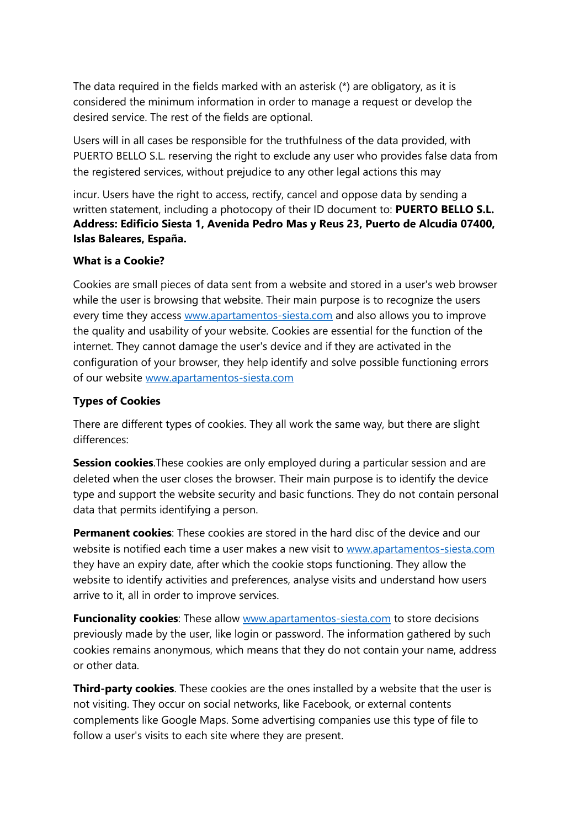The data required in the fields marked with an asterisk (\*) are obligatory, as it is considered the minimum information in order to manage a request or develop the desired service. The rest of the fields are optional.

Users will in all cases be responsible for the truthfulness of the data provided, with PUERTO BELLO S.L. reserving the right to exclude any user who provides false data from the registered services, without prejudice to any other legal actions this may

incur. Users have the right to access, rectify, cancel and oppose data by sending a written statement, including a photocopy of their ID document to: **PUERTO BELLO S.L. Address: Edificio Siesta 1, Avenida Pedro Mas y Reus 23, Puerto de Alcudia 07400, Islas Baleares, España.**

#### **What is a Cookie?**

Cookies are small pieces of data sent from a website and stored in a user's web browser while the user is browsing that website. Their main purpose is to recognize the users every time they access [www.apartamentos-siesta.com](http://www.apartamentos-siesta.com/) and also allows you to improve the quality and usability of your website. Cookies are essential for the function of the internet. They cannot damage the user's device and if they are activated in the configuration of your browser, they help identify and solve possible functioning errors of our website [www.apartamentos-siesta.com](http://www.apartamentos-siesta.com/)

### **Types of Cookies**

There are different types of cookies. They all work the same way, but there are slight differences:

**Session cookies**. These cookies are only employed during a particular session and are deleted when the user closes the browser. Their main purpose is to identify the device type and support the website security and basic functions. They do not contain personal data that permits identifying a person.

**Permanent cookies**: These cookies are stored in the hard disc of the device and our website is notified each time a user makes a new visit to [www.apartamentos-siesta.com](http://www.apartamentos-siesta.com/) they have an expiry date, after which the cookie stops functioning. They allow the website to identify activities and preferences, analyse visits and understand how users arrive to it, all in order to improve services.

**Funcionality cookies:** These allow [www.apartamentos-siesta.com](http://www.apartamentos-siesta.com/) to store decisions previously made by the user, like login or password. The information gathered by such cookies remains anonymous, which means that they do not contain your name, address or other data.

**Third-party cookies**. These cookies are the ones installed by a website that the user is not visiting. They occur on social networks, like Facebook, or external contents complements like Google Maps. Some advertising companies use this type of file to follow a user's visits to each site where they are present.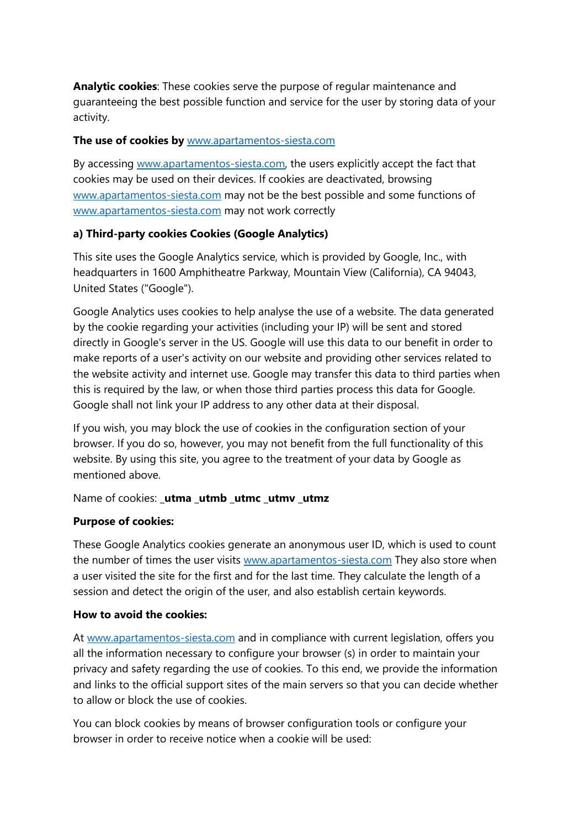**Analytic cookies**: These cookies serve the purpose of regular maintenance and guaranteeing the best possible function and service for the user by storing data of your activity.

#### **The use of cookies by** [www.apartamentos-siesta.com](http://www.apartamentos-siesta.com/)

By accessing [www.apartamentos-siesta.com,](http://www.apartamentos-siesta.com/) the users explicitly accept the fact that cookies may be used on their devices. If cookies are deactivated, browsing [www.apartamentos-siesta.com](http://www.apartamentos-siesta.com/) may not be the best possible and some functions of [www.apartamentos-siesta.com](http://www.apartamentos-siesta.com/) may not work correctly

## **a) Third-party cookies Cookies (Google Analytics)**

This site uses the Google Analytics service, which is provided by Google, Inc., with headquarters in 1600 Amphitheatre Parkway, Mountain View (California), CA 94043, United States ("Google").

Google Analytics uses cookies to help analyse the use of a website. The data generated by the cookie regarding your activities (including your IP) will be sent and stored directly in Google's server in the US. Google will use this data to our benefit in order to make reports of a user's activity on our website and providing other services related to the website activity and internet use. Google may transfer this data to third parties when this is required by the law, or when those third parties process this data for Google. Google shall not link your IP address to any other data at their disposal.

If you wish, you may block the use of cookies in the configuration section of your browser. If you do so, however, you may not benefit from the full functionality of this website. By using this site, you agree to the treatment of your data by Google as mentioned above.

#### Name of cookies: **\_utma \_utmb \_utmc \_utmv \_utmz**

#### **Purpose of cookies:**

These Google Analytics cookies generate an anonymous user ID, which is used to count the number of times the user visits [www.apartamentos-siesta.com](http://www.apartamentos-siesta.com/) They also store when a user visited the site for the first and for the last time. They calculate the length of a session and detect the origin of the user, and also establish certain keywords.

#### **How to avoid the cookies:**

At [www.apartamentos-siesta.com](http://www.apartamentos-siesta.com/) and in compliance with current legislation, offers you all the information necessary to configure your browser (s) in order to maintain your privacy and safety regarding the use of cookies. To this end, we provide the information and links to the official support sites of the main servers so that you can decide whether to allow or block the use of cookies.

You can block cookies by means of browser configuration tools or configure your browser in order to receive notice when a cookie will be used: